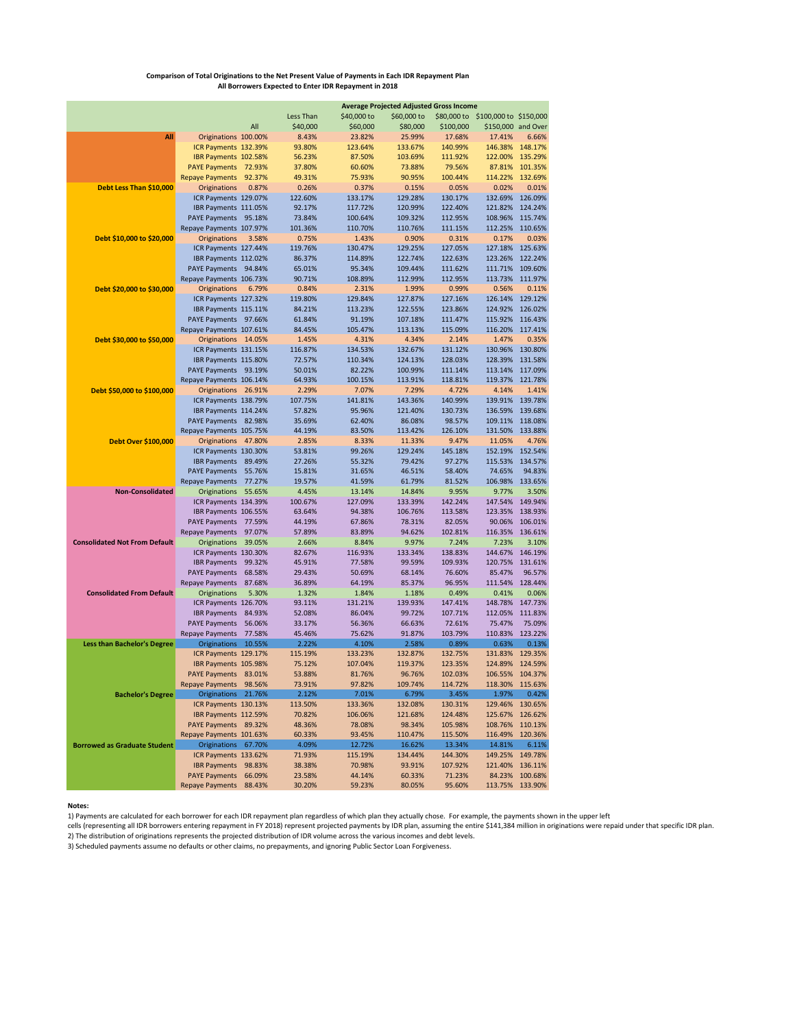## **Comparison of Total Originations to the Net Present Value of Payments in Each IDR Repayment Plan All Borrowers Expected to Enter IDR Repayment in 2018**

|                                      | <b>Average Projected Adjusted Gross Income</b> |        |                   |             |                   |                    |                        |                  |  |  |  |  |
|--------------------------------------|------------------------------------------------|--------|-------------------|-------------|-------------------|--------------------|------------------------|------------------|--|--|--|--|
|                                      |                                                |        | Less Than         | \$40,000 to | \$60,000 to       | \$80,000 to        | \$100,000 to \$150,000 |                  |  |  |  |  |
|                                      |                                                | All    | \$40,000          | \$60,000    | \$80,000          | \$100,000          | \$150,000              | and Over         |  |  |  |  |
| All                                  | Originations 100.00%                           |        | 8.43%             | 23.82%      | 25.99%            | 17.68%             | 17.41%                 | 6.66%            |  |  |  |  |
|                                      | ICR Payments 132.39%                           |        | 93.80%            | 123.64%     | 133.67%           | 140.99%            | 146.38%                | 148.17%          |  |  |  |  |
|                                      | IBR Payments 102.58%                           |        | 56.23%            | 87.50%      | 103.69%           | 111.92%            | 122.00%                | 135.29%          |  |  |  |  |
|                                      | PAYE Payments 72.93%                           |        | 37.80%            | 60.60%      | 73.88%            | 79.56%             | 87.81%                 | 101.35%          |  |  |  |  |
|                                      | <b>Repaye Payments</b>                         | 92.37% | 49.31%            | 75.93%      | 90.95%            | 100.44%            | 114.22%                | 132.69%          |  |  |  |  |
| Debt Less Than \$10,000              | <b>Originations</b>                            | 0.87%  | 0.26%             | 0.37%       | 0.15%             | 0.05%              | 0.02%                  | 0.01%            |  |  |  |  |
|                                      | ICR Payments 129.07%                           |        | 122.60%           | 133.17%     | 129.28%           | 130.17%            | 132.69%                | 126.09%          |  |  |  |  |
|                                      | IBR Payments 111.05%                           |        | 92.17%            | 117.72%     | 120.99%           | 122.40%            | 121.82%                | 124.24%          |  |  |  |  |
|                                      | PAYE Payments 95.18%                           |        | 73.84%            | 100.64%     | 109.32%           | 112.95%            | 108.96%                | 115.74%          |  |  |  |  |
|                                      | Repaye Payments 107.97%                        |        |                   | 110.70%     | 110.76%           | 111.15%            | 112.25%                | 110.65%          |  |  |  |  |
| Debt \$10,000 to \$20,000            |                                                |        | 101.36%           |             |                   |                    | 0.17%                  | 0.03%            |  |  |  |  |
|                                      | Originations                                   | 3.58%  | 0.75%             | 1.43%       | 0.90%             | 0.31%              |                        |                  |  |  |  |  |
|                                      | ICR Payments 127.44%                           |        | 119.76%<br>86.37% | 130.47%     | 129.25%           | 127.05%<br>122.63% |                        | 127.18% 125.63%  |  |  |  |  |
|                                      | IBR Payments 112.02%                           |        |                   | 114.89%     | 122.74%           |                    | 123.26%                | 122.24%          |  |  |  |  |
|                                      | PAYE Payments 94.84%                           |        | 65.01%            | 95.34%      | 109.44%           | 111.62%            | 111.71%                | 109.60%          |  |  |  |  |
|                                      | Repaye Payments 106.73%                        |        | 90.71%            | 108.89%     | 112.99%           | 112.95%            |                        | 113.73% 111.97%  |  |  |  |  |
| Debt \$20,000 to \$30,000            | Originations                                   | 6.79%  | 0.84%             | 2.31%       | 1.99%             | 0.99%              | 0.56%                  | 0.11%            |  |  |  |  |
|                                      | ICR Payments 127.32%                           |        | 119.80%           | 129.84%     | 127.87%           | 127.16%            | 126.14%                | 129.12%          |  |  |  |  |
|                                      | IBR Payments 115.11%                           |        | 84.21%            | 113.23%     | 122.55%           | 123.86%            | 124.92%                | 126.02%          |  |  |  |  |
|                                      | PAYE Payments 97.66%                           |        | 61.84%            | 91.19%      | 107.18%           | 111.47%            | 115.92%                | 116.43%          |  |  |  |  |
|                                      | Repaye Payments 107.61%                        |        | 84.45%            | 105.47%     | 113.13%           | 115.09%            | 116.20%                | 117.41%          |  |  |  |  |
| Debt \$30,000 to \$50,000            | Originations 14.05%                            |        | 1.45%             | 4.31%       | 4.34%             | 2.14%              | 1.47%                  | 0.35%            |  |  |  |  |
|                                      | ICR Payments 131.15%                           |        | 116.87%           | 134.53%     | 132.67%           | 131.12%            | 130.96%                | 130.80%          |  |  |  |  |
|                                      | IBR Payments 115.80%                           |        | 72.57%            | 110.34%     | 124.13%           | 128.03%            | 128.39%                | 131.58%          |  |  |  |  |
|                                      | PAYE Payments 93.19%                           |        | 50.01%            | 82.22%      | 100.99%           | 111.14%            | 113.14%                | 117.09%          |  |  |  |  |
|                                      | Repaye Payments 106.14%                        |        | 64.93%            | 100.15%     | 113.91%           | 118.81%            | 119.37%                | 121.78%          |  |  |  |  |
| Debt \$50,000 to \$100,000           | Originations 26.91%                            |        | 2.29%             | 7.07%       | 7.29%             | 4.72%              | 4.14%                  | 1.41%            |  |  |  |  |
|                                      | ICR Payments 138.79%                           |        | 107.75%           | 141.81%     | 143.36%           | 140.99%            | 139.91%                | 139.78%          |  |  |  |  |
|                                      | IBR Payments 114.24%                           |        | 57.82%            | 95.96%      | 121.40%           | 130.73%            | 136.59%                | 139.68%          |  |  |  |  |
|                                      | PAYE Payments 82.98%                           |        | 35.69%            | 62.40%      | 86.08%            | 98.57%             | 109.11%                | 118.08%          |  |  |  |  |
|                                      | Repaye Payments 105.75%                        |        | 44.19%            | 83.50%      | 113.42%           | 126.10%            | 131.50%                | 133.88%          |  |  |  |  |
| Debt Over \$100,000                  | Originations                                   | 47.80% | 2.85%             | 8.33%       | 11.33%            | 9.47%              | 11.05%                 | 4.76%            |  |  |  |  |
|                                      | ICR Payments 130.30%                           |        | 53.81%            | 99.26%      | 129.24%           | 145.18%            |                        | 152.19% 152.54%  |  |  |  |  |
|                                      | <b>IBR Payments</b>                            | 89.49% | 27.26%            | 55.32%      | 79.42%            | 97.27%             | 115.53%                | 134.57%          |  |  |  |  |
|                                      | <b>PAYE Payments</b>                           | 55.76% | 15.81%            | 31.65%      | 46.51%            | 58.40%             | 74.65%                 | 94.83%           |  |  |  |  |
|                                      | <b>Repaye Payments</b>                         | 77.27% | 19.57%            | 41.59%      | 61.79%            | 81.52%             |                        | 106.98% 133.65%  |  |  |  |  |
| <b>Non-Consolidated</b>              | Originations                                   | 55.65% | 4.45%             | 13.14%      | 14.84%            | 9.95%              | 9.77%                  | 3.50%            |  |  |  |  |
|                                      | ICR Payments 134.39%                           |        | 100.67%           | 127.09%     | 133.39%           | 142.24%            | 147.54%                | 149.94%          |  |  |  |  |
|                                      | IBR Payments 106.55%                           |        | 63.64%            | 94.38%      | 106.76%           | 113.58%            | 123.35%                | 138.93%          |  |  |  |  |
|                                      | <b>PAYE Payments</b>                           | 77.59% | 44.19%            | 67.86%      | 78.31%            | 82.05%             | 90.06%                 | 106.01%          |  |  |  |  |
|                                      | <b>Repaye Payments</b>                         | 97.07% | 57.89%            | 83.89%      | 94.62%            | 102.81%            | 116.35%                | 136.61%          |  |  |  |  |
| <b>Consolidated Not From Default</b> | Originations                                   | 39.05% | 2.66%             | 8.84%       | 9.97%             | 7.24%              | 7.23%                  | 3.10%            |  |  |  |  |
|                                      | ICR Payments 130.30%                           |        | 82.67%            | 116.93%     | 133.34%           | 138.83%            | 144.67%                | 146.19%          |  |  |  |  |
|                                      | <b>IBR Payments</b>                            | 99.32% | 45.91%            | 77.58%      | 99.59%            | 109.93%            | 120.75%                | 131.61%          |  |  |  |  |
|                                      | <b>PAYE Payments</b>                           | 68.58% | 29.43%            | 50.69%      | 68.14%            | 76.60%             | 85.47%                 | 96.57%           |  |  |  |  |
|                                      |                                                |        |                   |             |                   | 96.95%             | 111.54%                | 128.44%          |  |  |  |  |
|                                      | <b>Repaye Payments</b>                         | 87.68% | 36.89%            | 64.19%      | 85.37%            |                    |                        |                  |  |  |  |  |
| <b>Consolidated From Default</b>     | Originations                                   | 5.30%  | 1.32%             | 1.84%       | 1.18%             | 0.49%              | 0.41%                  | 0.06%<br>147.73% |  |  |  |  |
|                                      | ICR Payments 126.70%                           |        | 93.11%            | 131.21%     | 139.93%<br>99.72% | 147.41%            | 148.78%<br>112.05%     |                  |  |  |  |  |
|                                      | <b>IBR Payments</b>                            | 84.93% | 52.08%            | 86.04%      |                   | 107.71%            | 75.47%                 | 111.83%          |  |  |  |  |
|                                      | <b>PAYE Payments</b>                           | 56.06% | 33.17%            | 56.36%      | 66.63%            | 72.61%             |                        | 75.09%           |  |  |  |  |
|                                      | <b>Repaye Payments</b>                         | 77.58% | 45.46%            | 75.62%      | 91.87%            | 103.79%            | 110.83%                | 123.22%          |  |  |  |  |
| <b>Less than Bachelor's Degree</b>   | <b>Originations</b>                            | 10.55% | 2.22%             | 4.10%       | 2.58%             | 0.89%              | 0.63%                  | 0.13%            |  |  |  |  |
|                                      | ICR Payments 129.17%                           |        | 115.19%           | 133.23%     | 132.87%           | 132.75%            | 131.83%                | 129.35%          |  |  |  |  |
|                                      | IBR Payments 105.98%                           |        | 75.12%            | 107.04%     | 119.37%           | 123.35%            | 124.89%                | 124.59%          |  |  |  |  |
|                                      | <b>PAYE Payments</b>                           | 83.01% | 53.88%            | 81.76%      | 96.76%            | 102.03%            | 106.55%                | 104.37%          |  |  |  |  |
|                                      | <b>Repaye Payments</b>                         | 98.56% | 73.91%            | 97.82%      | 109.74%           | 114.72%            | 118.30%                | 115.63%          |  |  |  |  |
| <b>Bachelor's Degree</b>             | Originations 21.76%                            |        | 2.12%             | 7.01%       | 6.79%             | 3.45%              | 1.97%                  | 0.42%            |  |  |  |  |
|                                      | ICR Payments 130.13%                           |        | 113.50%           | 133.36%     | 132.08%           | 130.31%            | 129.46%                | 130.65%          |  |  |  |  |
|                                      | IBR Payments 112.59%                           |        | 70.82%            | 106.06%     | 121.68%           | 124.48%            | 125.67%                | 126.62%          |  |  |  |  |
|                                      | PAYE Payments 89.32%                           |        | 48.36%            | 78.08%      | 98.34%            | 105.98%            | 108.76%                | 110.13%          |  |  |  |  |
|                                      | Repaye Payments 101.63%                        |        | 60.33%            | 93.45%      | 110.47%           | 115.50%            | 116.49%                | 120.36%          |  |  |  |  |
| <b>Borrowed as Graduate Student</b>  | Originations 67.70%                            |        | 4.09%             | 12.72%      | 16.62%            | 13.34%             | 14.81%                 | 6.11%            |  |  |  |  |
|                                      | ICR Payments 133.62%                           |        | 71.93%            | 115.19%     | 134.44%           | 144.30%            | 149.25%                | 149.78%          |  |  |  |  |
|                                      | IBR Payments 98.83%                            |        | 38.38%            | 70.98%      | 93.91%            | 107.92%            | 121.40%                | 136.11%          |  |  |  |  |
|                                      | PAYE Payments 66.09%                           |        | 23.58%            | 44.14%      | 60.33%            | 71.23%             | 84.23%                 | 100.68%          |  |  |  |  |
|                                      | Repaye Payments 88.43%                         |        | 30.20%            | 59.23%      | 80.05%            | 95.60%             |                        | 113.75% 133.90%  |  |  |  |  |

## **Notes:**

1) Payments are calculated for each borrower for each IDR repayment plan regardless of which plan they actually chose. For example, the payments shown in the upper left<br>cells (representing all IDR borrowers entering repaym

2) The distribution of originations represents the projected distribution of IDR volume across the various incomes and debt levels. 3) Scheduled payments assume no defaults or other claims, no prepayments, and ignoring Public Sector Loan Forgiveness.